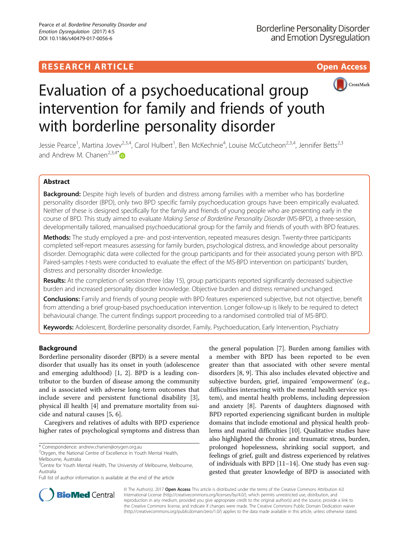## **RESEARCH ARTICLE Example 2018 12:00 Department of the Contract Open Access**



# Evaluation of a psychoeducational group intervention for family and friends of youth with borderline personality disorder

Jessie Pearce<sup>1</sup>, Martina Jovev<sup>2,3,4</sup>, Carol Hulbert<sup>1</sup>, Ben McKechnie<sup>4</sup>, Louise McCutcheon<sup>2,3,4</sup>, Jennifer Betts<sup>2,3</sup> and Andrew M. Chanen<sup>2,3,4\*</sup> $\bullet$ 

## Abstract

Background: Despite high levels of burden and distress among families with a member who has borderline personality disorder (BPD), only two BPD specific family psychoeducation groups have been empirically evaluated. Neither of these is designed specifically for the family and friends of young people who are presenting early in the course of BPD. This study aimed to evaluate Making Sense of Borderline Personality Disorder (MS-BPD), a three-session, developmentally tailored, manualised psychoeducational group for the family and friends of youth with BPD features.

Methods: The study employed a pre- and post-intervention, repeated measures design. Twenty-three participants completed self-report measures assessing for family burden, psychological distress, and knowledge about personality disorder. Demographic data were collected for the group participants and for their associated young person with BPD. Paired-samples t-tests were conducted to evaluate the effect of the MS-BPD intervention on participants' burden, distress and personality disorder knowledge.

Results: At the completion of session three (day 15), group participants reported significantly decreased subjective burden and increased personality disorder knowledge. Objective burden and distress remained unchanged.

Conclusions: Family and friends of young people with BPD features experienced subjective, but not objective, benefit from attending a brief group-based psychoeducation intervention. Longer follow-up is likely to be required to detect behavioural change. The current findings support proceeding to a randomised controlled trial of MS-BPD.

Keywords: Adolescent, Borderline personality disorder, Family, Psychoeducation, Early Intervention, Psychiatry

## Background

Borderline personality disorder (BPD) is a severe mental disorder that usually has its onset in youth (adolescence and emerging adulthood) [\[1](#page-5-0), [2\]](#page-5-0). BPD is a leading contributor to the burden of disease among the community and is associated with adverse long-term outcomes that include severe and persistent functional disability [\[3](#page-5-0)], physical ill health [[4](#page-5-0)] and premature mortality from suicide and natural causes [\[5](#page-5-0), [6](#page-5-0)].

Caregivers and relatives of adults with BPD experience higher rates of psychological symptoms and distress than

the general population [[7\]](#page-5-0). Burden among families with a member with BPD has been reported to be even greater than that associated with other severe mental disorders [\[8](#page-5-0), [9](#page-5-0)]. This also includes elevated objective and subjective burden, grief, impaired 'empowerment' (e.g., difficulties interacting with the mental health service system), and mental health problems, including depression and anxiety [\[8](#page-5-0)]. Parents of daughters diagnosed with BPD reported experiencing significant burden in multiple domains that include emotional and physical health problems and marital difficulties [\[10\]](#page-5-0). Qualitative studies have also highlighted the chronic and traumatic stress, burden, prolonged hopelessness, shrinking social support, and feelings of grief, guilt and distress experienced by relatives of individuals with BPD [\[11](#page-5-0)–[14](#page-5-0)]. One study has even suggested that greater knowledge of BPD is associated with



© The Author(s). 2017 **Open Access** This article is distributed under the terms of the Creative Commons Attribution 4.0 International License [\(http://creativecommons.org/licenses/by/4.0/](http://creativecommons.org/licenses/by/4.0/)), which permits unrestricted use, distribution, and reproduction in any medium, provided you give appropriate credit to the original author(s) and the source, provide a link to the Creative Commons license, and indicate if changes were made. The Creative Commons Public Domain Dedication waiver [\(http://creativecommons.org/publicdomain/zero/1.0/](http://creativecommons.org/publicdomain/zero/1.0/)) applies to the data made available in this article, unless otherwise stated.

<sup>\*</sup> Correspondence: [andrew.chanen@orygen.org.au](mailto:andrew.chanen@orygen.org.au) <sup>2</sup>

<sup>&</sup>lt;sup>2</sup>Orygen, the National Centre of Excellence in Youth Mental Health, Melbourne, Australia

<sup>&</sup>lt;sup>3</sup>Centre for Youth Mental Health, The University of Melbourne, Melbourne, Australia

Full list of author information is available at the end of the article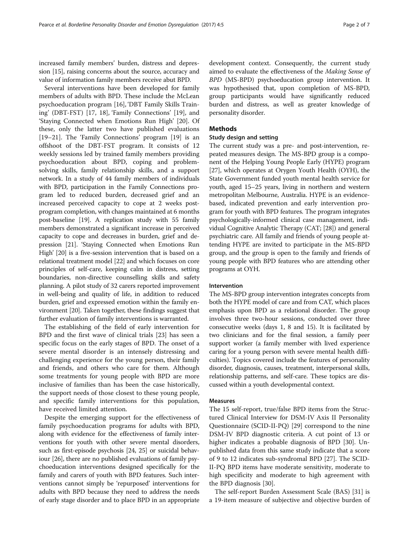increased family members' burden, distress and depression [\[15\]](#page-5-0), raising concerns about the source, accuracy and value of information family members receive abut BPD.

Several interventions have been developed for family members of adults with BPD. These include the McLean psychoeducation program [\[16\]](#page-5-0), 'DBT Family Skills Training' (DBT-FST) [[17](#page-6-0), [18](#page-6-0)], 'Family Connections' [\[19](#page-6-0)], and 'Staying Connected when Emotions Run High' [[20](#page-6-0)]. Of these, only the latter two have published evaluations [[19](#page-6-0)–[21](#page-6-0)]. The 'Family Connections' program [[19\]](#page-6-0) is an offshoot of the DBT-FST program. It consists of 12 weekly sessions led by trained family members providing psychoeducation about BPD, coping and problemsolving skills, family relationship skills, and a support network. In a study of 44 family members of individuals with BPD, participation in the Family Connections program led to reduced burden, decreased grief and an increased perceived capacity to cope at 2 weeks postprogram completion, with changes maintained at 6 months post-baseline [[19\]](#page-6-0). A replication study with 55 family members demonstrated a significant increase in perceived capacity to cope and decreases in burden, grief and depression [\[21](#page-6-0)]. 'Staying Connected when Emotions Run High' [\[20](#page-6-0)] is a five-session intervention that is based on a relational treatment model [\[22\]](#page-6-0) and which focuses on core principles of self-care, keeping calm in distress, setting boundaries, non-directive counselling skills and safety planning. A pilot study of 32 carers reported improvement in well-being and quality of life, in addition to reduced burden, grief and expressed emotion within the family environment [\[20\]](#page-6-0). Taken together, these findings suggest that further evaluation of family interventions is warranted.

The establishing of the field of early intervention for BPD and the first wave of clinical trials [\[23\]](#page-6-0) has seen a specific focus on the early stages of BPD. The onset of a severe mental disorder is an intensely distressing and challenging experience for the young person, their family and friends, and others who care for them. Although some treatments for young people with BPD are more inclusive of families than has been the case historically, the support needs of those closest to these young people, and specific family interventions for this population, have received limited attention.

Despite the emerging support for the effectiveness of family psychoeducation programs for adults with BPD, along with evidence for the effectiveness of family interventions for youth with other severe mental disorders, such as first-episode psychosis [[24](#page-6-0), [25\]](#page-6-0) or suicidal behaviour [[26](#page-6-0)], there are no published evaluations of family psychoeducation interventions designed specifically for the family and carers of youth with BPD features. Such interventions cannot simply be 'repurposed' interventions for adults with BPD because they need to address the needs of early stage disorder and to place BPD in an appropriate development context. Consequently, the current study aimed to evaluate the effectiveness of the Making Sense of BPD (MS-BPD) psychoeducation group intervention. It was hypothesised that, upon completion of MS-BPD, group participants would have significantly reduced burden and distress, as well as greater knowledge of personality disorder.

#### Methods

## Study design and setting

The current study was a pre- and post-intervention, repeated measures design. The MS-BPD group is a component of the Helping Young People Early (HYPE) program [[27](#page-6-0)], which operates at Orygen Youth Health (OYH), the State Government funded youth mental health service for youth, aged 15–25 years, living in northern and western metropolitan Melbourne, Australia. HYPE is an evidencebased, indicated prevention and early intervention program for youth with BPD features. The program integrates psychologically-informed clinical case management, individual Cognitive Analytic Therapy (CAT; [[28](#page-6-0)]) and general psychiatric care. All family and friends of young people attending HYPE are invited to participate in the MS-BPD group, and the group is open to the family and friends of young people with BPD features who are attending other programs at OYH.

#### Intervention

The MS-BPD group intervention integrates concepts from both the HYPE model of care and from CAT, which places emphasis upon BPD as a relational disorder. The group involves three two-hour sessions, conducted over three consecutive weeks (days 1, 8 and 15). It is facilitated by two clinicians and for the final session, a family peer support worker (a family member with lived experience caring for a young person with severe mental health difficulties). Topics covered include the features of personality disorder, diagnosis, causes, treatment, interpersonal skills, relationship patterns, and self-care. These topics are discussed within a youth developmental context.

#### Measures

The 15 self-report, true/false BPD items from the Structured Clinical Interview for DSM-IV Axis II Personality Questionnaire (SCID-II-PQ) [[29](#page-6-0)] correspond to the nine DSM-IV BPD diagnostic criteria. A cut point of 13 or higher indicates a probable diagnosis of BPD [\[30\]](#page-6-0). Unpublished data from this same study indicate that a score of 9 to 12 indicates sub-syndromal BPD [\[27](#page-6-0)]. The SCID-II-PQ BPD items have moderate sensitivity, moderate to high specificity and moderate to high agreement with the BPD diagnosis [[30](#page-6-0)].

The self-report Burden Assessment Scale (BAS) [\[31\]](#page-6-0) is a 19-item measure of subjective and objective burden of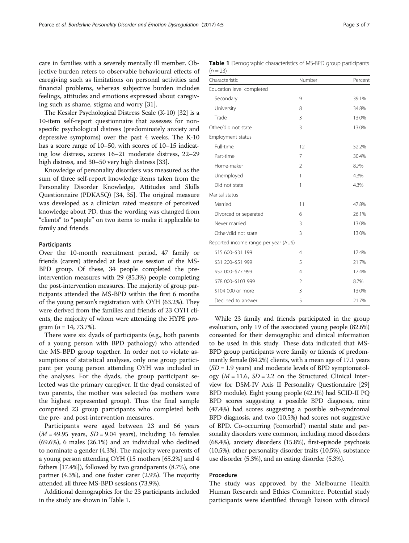care in families with a severely mentally ill member. Objective burden refers to observable behavioural effects of caregiving such as limitations on personal activities and financial problems, whereas subjective burden includes feelings, attitudes and emotions expressed about caregiving such as shame, stigma and worry [\[31\]](#page-6-0).

The Kessler Psychological Distress Scale (K-10) [\[32\]](#page-6-0) is a 10-item self-report questionnaire that assesses for nonspecific psychological distress (predominately anxiety and depressive symptoms) over the past 4 weeks. The K-10 has a score range of 10–50, with scores of 10–15 indicating low distress, scores 16–21 moderate distress, 22–29 high distress, and 30–50 very high distress [\[33](#page-6-0)].

Knowledge of personality disorders was measured as the sum of three self-report knowledge items taken from the Personality Disorder Knowledge, Attitudes and Skills Questionnaire (PDKASQ) [[34, 35](#page-6-0)]. The original measure was developed as a clinician rated measure of perceived knowledge about PD, thus the wording was changed from "clients" to "people" on two items to make it applicable to family and friends.

#### Participants

Over the 10-month recruitment period, 47 family or friends (carers) attended at least one session of the MS-BPD group. Of these, 34 people completed the preintervention measures with 29 (85.3%) people completing the post-intervention measures. The majority of group participants attended the MS-BPD within the first 6 months of the young person's registration with OYH (63.2%). They were derived from the families and friends of 23 OYH clients, the majority of whom were attending the HYPE program  $(n = 14, 73.7\%)$ .

There were six dyads of participants (e.g., both parents of a young person with BPD pathology) who attended the MS-BPD group together. In order not to violate assumptions of statistical analyses, only one group participant per young person attending OYH was included in the analyses. For the dyads, the group participant selected was the primary caregiver. If the dyad consisted of two parents, the mother was selected (as mothers were the highest represented group). Thus the final sample comprised 23 group participants who completed both the pre- and post-intervention measures.

Participants were aged between 23 and 66 years  $(M = 49.95$  years,  $SD = 9.04$  years), including 16 females (69.6%), 6 males (26.1%) and an individual who declined to nominate a gender (4.3%). The majority were parents of a young person attending OYH (15 mothers [65.2%] and 4 fathers [17.4%]), followed by two grandparents (8.7%), one partner (4.3%), and one foster carer (2.9%). The majority attended all three MS-BPD sessions (73.9%).

Additional demographics for the 23 participants included in the study are shown in Table 1.

|          | Table 1 Demographic characteristics of MS-BPD group participants |  |  |
|----------|------------------------------------------------------------------|--|--|
| $(n=23)$ |                                                                  |  |  |

| Characteristic                        | Number         | Percent |
|---------------------------------------|----------------|---------|
| Education level completed             |                |         |
| Secondary                             | 9              | 39.1%   |
| University                            | 8              | 34.8%   |
| Trade                                 | 3              | 13.0%   |
| Other/did not state                   | 3              | 13.0%   |
| Employment status                     |                |         |
| Full-time                             | 12             | 52.2%   |
| Part-time                             | 7              | 30.4%   |
| Home-maker                            | $\overline{2}$ | 8.7%    |
| Unemployed                            | 1              | 4.3%    |
| Did not state                         | 1              | 4.3%    |
| Marital status                        |                |         |
| Married                               | 11             | 47.8%   |
| Divorced or separated                 | 6              | 26.1%   |
| Never married                         | 3              | 13.0%   |
| Other/did not state                   | 3              | 13.0%   |
| Reported income range per year (AU\$) |                |         |
| \$15 600-\$31 199                     | $\overline{4}$ | 17.4%   |
| \$31 200-\$51 999                     | 5              | 21.7%   |
| \$52 000-\$77 999                     | 4              | 17.4%   |
| \$78 000-\$103 999                    | $\mathfrak{D}$ | 8.7%    |
| \$104 000 or more                     | 3              | 13.0%   |
| Declined to answer                    | 5              | 21.7%   |

While 23 family and friends participated in the group evaluation, only 19 of the associated young people (82.6%) consented for their demographic and clinical information to be used in this study. These data indicated that MS-BPD group participants were family or friends of predominantly female (84.2%) clients, with a mean age of 17.1 years  $(SD = 1.9$  years) and moderate levels of BPD symptomatology  $(M = 11.6, SD = 2.2$  on the Structured Clinical Interview for DSM-IV Axis II Personality Questionnaire [\[29](#page-6-0)] BPD module). Eight young people (42.1%) had SCID-II PQ BPD scores suggesting a possible BPD diagnosis, nine (47.4%) had scores suggesting a possible sub-syndromal BPD diagnosis, and two (10.5%) had scores not suggestive of BPD. Co-occurring ('comorbid') mental state and personality disorders were common, including mood disorders (68.4%), anxiety disorders (15.8%), first-episode psychosis (10.5%), other personality disorder traits (10.5%), substance use disorder (5.3%), and an eating disorder (5.3%).

## Procedure

The study was approved by the Melbourne Health Human Research and Ethics Committee. Potential study participants were identified through liaison with clinical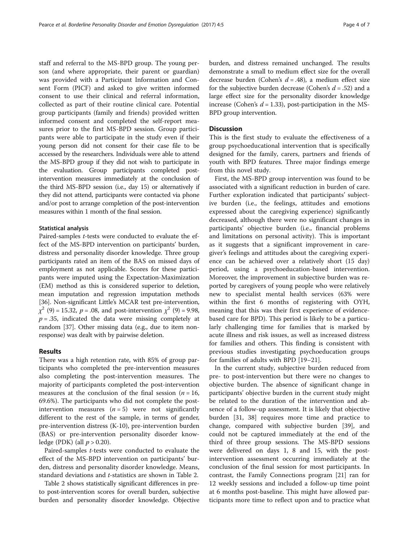staff and referral to the MS-BPD group. The young person (and where appropriate, their parent or guardian) was provided with a Participant Information and Consent Form (PICF) and asked to give written informed consent to use their clinical and referral information, collected as part of their routine clinical care. Potential group participants (family and friends) provided written informed consent and completed the self-report measures prior to the first MS-BPD session. Group participants were able to participate in the study even if their young person did not consent for their case file to be accessed by the researchers. Individuals were able to attend the MS-BPD group if they did not wish to participate in the evaluation. Group participants completed postintervention measures immediately at the conclusion of the third MS-BPD session (i.e., day 15) or alternatively if they did not attend, participants were contacted via phone and/or post to arrange completion of the post-intervention measures within 1 month of the final session.

## Statistical analysis

Paired-samples t-tests were conducted to evaluate the effect of the MS-BPD intervention on participants' burden, distress and personality disorder knowledge. Three group participants rated an item of the BAS on missed days of employment as not applicable. Scores for these participants were imputed using the Expectation-Maximization (EM) method as this is considered superior to deletion, mean imputation and regression imputation methods [[36](#page-6-0)]. Non-significant Little's MCAR test pre-intervention,  $\chi^2$  (9) = 15.32, *p* = .08, and post-intervention  $\chi^2$  (9) = 9.98,  $p = .35$ , indicated the data were missing completely at random [\[37\]](#page-6-0). Other missing data (e.g., due to item nonresponse) was dealt with by pairwise deletion.

## Results

There was a high retention rate, with 85% of group participants who completed the pre-intervention measures also completing the post-intervention measures. The majority of participants completed the post-intervention measures at the conclusion of the final session ( $n = 16$ , 69.6%). The participants who did not complete the postintervention measures  $(n = 5)$  were not significantly different to the rest of the sample, in terms of gender, pre-intervention distress (K-10), pre-intervention burden (BAS) or pre-intervention personality disorder knowledge (PDK) (all  $p > 0.20$ ).

Paired-samples t-tests were conducted to evaluate the effect of the MS-BPD intervention on participants' burden, distress and personality disorder knowledge. Means, standard deviations and *t*-statistics are shown in Table [2.](#page-4-0)

Table [2](#page-4-0) shows statistically significant differences in preto post-intervention scores for overall burden, subjective burden and personality disorder knowledge. Objective

burden, and distress remained unchanged. The results demonstrate a small to medium effect size for the overall decrease burden (Cohen's  $d = .48$ ), a medium effect size for the subjective burden decrease (Cohen's  $d = .52$ ) and a large effect size for the personality disorder knowledge increase (Cohen's  $d = 1.33$ ), post-participation in the MS-BPD group intervention.

## **Discussion**

This is the first study to evaluate the effectiveness of a group psychoeducational intervention that is specifically designed for the family, carers, partners and friends of youth with BPD features. Three major findings emerge from this novel study.

First, the MS-BPD group intervention was found to be associated with a significant reduction in burden of care. Further exploration indicated that participants' subjective burden (i.e., the feelings, attitudes and emotions expressed about the caregiving experience) significantly decreased, although there were no significant changes in participants' objective burden (i.e., financial problems and limitations on personal activity). This is important as it suggests that a significant improvement in caregiver's feelings and attitudes about the caregiving experience can be achieved over a relatively short (15 day) period, using a psychoeducation-based intervention. Moreover, the improvement in subjective burden was reported by caregivers of young people who were relatively new to specialist mental health services (63% were within the first 6 months of registering with OYH, meaning that this was their first experience of evidencebased care for BPD). This period is likely to be a particularly challenging time for families that is marked by acute illness and risk issues, as well as increased distress for families and others. This finding is consistent with previous studies investigating psychoeducation groups for families of adults with BPD [\[19](#page-6-0)–[21\]](#page-6-0).

In the current study, subjective burden reduced from pre- to post-intervention but there were no changes to objective burden. The absence of significant change in participants' objective burden in the current study might be related to the duration of the intervention and absence of a follow-up assessment. It is likely that objective burden [\[31, 38\]](#page-6-0) requires more time and practice to change, compared with subjective burden [\[39](#page-6-0)], and could not be captured immediately at the end of the third of three group sessions. The MS-BPD sessions were delivered on days 1, 8 and 15, with the postintervention assessment occurring immediately at the conclusion of the final session for most participants. In contrast, the Family Connections program [[21\]](#page-6-0) ran for 12 weekly sessions and included a follow-up time point at 6 months post-baseline. This might have allowed participants more time to reflect upon and to practice what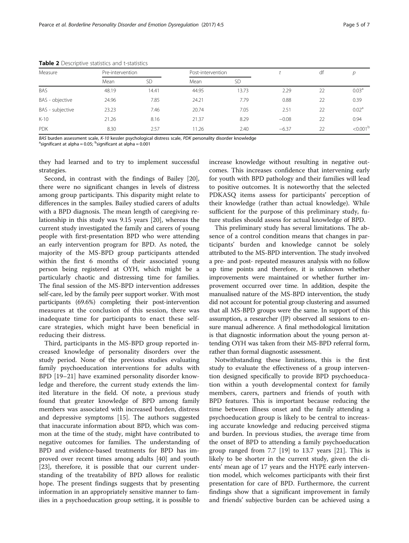| Measure          | Pre-intervention |           | Post-intervention |           |         | df |                      |
|------------------|------------------|-----------|-------------------|-----------|---------|----|----------------------|
|                  | Mean             | <b>SD</b> | Mean              | <b>SD</b> |         |    |                      |
| <b>BAS</b>       | 48.19            | 14.41     | 44.95             | 13.73     | 2.29    | 22 | 0.03 <sup>a</sup>    |
| BAS - objective  | 24.96            | 7.85      | 24.21             | 7.79      | 0.88    | 22 | 0.39                 |
| BAS - subjective | 23.23            | 7.46      | 20.74             | 7.05      | 2.51    | 22 | 0.02 <sup>a</sup>    |
| $K-10$           | 21.26            | 8.16      | 21.37             | 8.29      | $-0.08$ | 22 | 0.94                 |
| <b>PDK</b>       | 8.30             | 2.57      | 11.26             | 2.40      | $-6.37$ | 22 | < 0.001 <sup>b</sup> |

<span id="page-4-0"></span>Table 2 Descriptive statistics and t-statistics

BAS burden assessment scale, K-10 kessler psychological distress scale, PDK personality disorder knowledge

significant at alpha = 0.05; <sup>b</sup>significant at alpha = 0.001

they had learned and to try to implement successful strategies.

Second, in contrast with the findings of Bailey [\[20](#page-6-0)], there were no significant changes in levels of distress among group participants. This disparity might relate to differences in the samples. Bailey studied carers of adults with a BPD diagnosis. The mean length of caregiving relationship in this study was 9.15 years [\[20](#page-6-0)], whereas the current study investigated the family and carers of young people with first-presentation BPD who were attending an early intervention program for BPD. As noted, the majority of the MS-BPD group participants attended within the first 6 months of their associated young person being registered at OYH, which might be a particularly chaotic and distressing time for families. The final session of the MS-BPD intervention addresses self-care, led by the family peer support worker. With most participants (69.6%) completing their post-intervention measures at the conclusion of this session, there was inadequate time for participants to enact these selfcare strategies, which might have been beneficial in reducing their distress.

Third, participants in the MS-BPD group reported increased knowledge of personality disorders over the study period. None of the previous studies evaluating family psychoeducation interventions for adults with BPD [[19](#page-6-0)–[21](#page-6-0)] have examined personality disorder knowledge and therefore, the current study extends the limited literature in the field. Of note, a previous study found that greater knowledge of BPD among family members was associated with increased burden, distress and depressive symptoms [[15\]](#page-5-0). The authors suggested that inaccurate information about BPD, which was common at the time of the study, might have contributed to negative outcomes for families. The understanding of BPD and evidence-based treatments for BPD has improved over recent times among adults [[40\]](#page-6-0) and youth [[23\]](#page-6-0), therefore, it is possible that our current understanding of the treatability of BPD allows for realistic hope. The present findings suggests that by presenting information in an appropriately sensitive manner to families in a psychoeducation group setting, it is possible to increase knowledge without resulting in negative outcomes. This increases confidence that intervening early for youth with BPD pathology and their families will lead to positive outcomes. It is noteworthy that the selected PDKASQ items assess for participants' perception of their knowledge (rather than actual knowledge). While sufficient for the purpose of this preliminary study, future studies should assess for actual knowledge of BPD.

This preliminary study has several limitations. The absence of a control condition means that changes in participants' burden and knowledge cannot be solely attributed to the MS-BPD intervention. The study involved a pre- and post- repeated measures analysis with no follow up time points and therefore, it is unknown whether improvements were maintained or whether further improvement occurred over time. In addition, despite the manualised nature of the MS-BPD intervention, the study did not account for potential group clustering and assumed that all MS-BPD groups were the same. In support of this assumption, a researcher (JP) observed all sessions to ensure manual adherence. A final methodological limitation is that diagnostic information about the young person attending OYH was taken from their MS-BPD referral form, rather than formal diagnostic assessment.

Notwithstanding these limitations, this is the first study to evaluate the effectiveness of a group intervention designed specifically to provide BPD psychoeducation within a youth developmental context for family members, carers, partners and friends of youth with BPD features. This is important because reducing the time between illness onset and the family attending a psychoeducation group is likely to be central to increasing accurate knowledge and reducing perceived stigma and burden. In previous studies, the average time from the onset of BPD to attending a family psychoeducation group ranged from 7.7 [[19\]](#page-6-0) to 13.7 years [[21\]](#page-6-0). This is likely to be shorter in the current study, given the clients' mean age of 17 years and the HYPE early intervention model, which welcomes participants with their first presentation for care of BPD. Furthermore, the current findings show that a significant improvement in family and friends' subjective burden can be achieved using a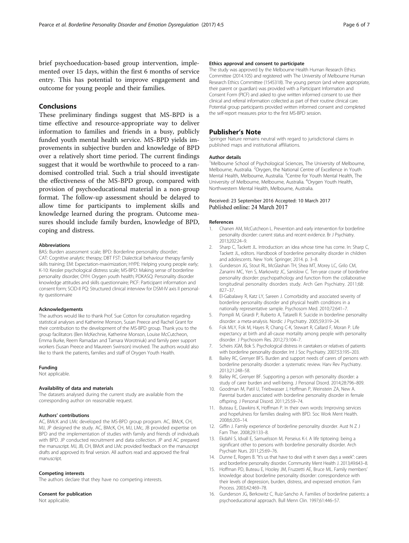<span id="page-5-0"></span>brief psychoeducation-based group intervention, implemented over 15 days, within the first 6 months of service entry. This has potential to improve engagement and outcome for young people and their families.

### Conclusions

These preliminary findings suggest that MS-BPD is a time effective and resource-appropriate way to deliver information to families and friends in a busy, publicly funded youth mental health service. MS-BPD yields improvements in subjective burden and knowledge of BPD over a relatively short time period. The current findings suggest that it would be worthwhile to proceed to a randomised controlled trial. Such a trial should investigate the effectiveness of the MS-BPD group, compared with provision of psychoeducational material in a non-group format. The follow-up assessment should be delayed to allow time for participants to implement skills and knowledge learned during the program. Outcome measures should include family burden, knowledge of BPD, coping and distress.

#### Abbreviations

BAS: Burden assessment scale; BPD: Borderline personality disorder; CAT: Cognitive analytic therapy; DBT FST: Dialectical behaviour therapy family skills training; EM: Expectation-maximization; HYPE: Helping young people early; K-10: Kessler psychological distress scale; MS-BPD: Making sense of borderline personality disorder; OYH: Orygen youth health; PDKASQ: Personality disorder knowledge attitudes and skills questionnaire; PICF: Participant information and consent form; SCID-II PQ: Structured clinical interview for DSM-IV axis II personality questionnaire

#### Acknowledgements

The authors would like to thank Prof. Sue Cotton for consultation regarding statistical analyses and Katherine Monson, Susan Preece and Rachel Grant for their contribution to the development of the MS-BPD group. Thank you to the group facilitators (Ben McKechnie, Katherine Monson, Louise McCutcheon, Emma Burke, Reem Ramadan and Tamara Worotniuk) and family peer support workers (Susan Preece and Maureen Swinson) involved. The authors would also like to thank the patients, families and staff of Orygen Youth Health.

#### Funding

Not applicable.

#### Availability of data and materials

The datasets analysed during the current study are available from the corresponding author on reasonable request.

#### Authors' contributions

AC, BMcK and LMc developed the MS-BPD group program. AC, BMcK, CH, MJ, JP designed the study. AC, BMcK, CH, MJ, LMc, JB provided expertise on BPD and the implementation of studies with family and friends of individuals with BPD. JP conducted recruitment and data collection. JP and AC prepared the manuscript. MJ, JB, CH, BMcK and LMc provided feedback on the manuscript drafts and approved its final version. All authors read and approved the final manuscript.

#### Competing interests

The authors declare that they have no competing interests.

#### Consent for publication

Not applicable.

#### Ethics approval and consent to participate

The study was approved by the Melbourne Health Human Research Ethics Committee (2014.105) and registered with The University of Melbourne Human Research Ethics Committee (1545318). The young person (and where appropriate, their parent or guardian) was provided with a Participant Information and Consent Form (PICF) and asked to give written informed consent to use their clinical and referral information collected as part of their routine clinical care. Potential group participants provided written informed consent and completed the self-report measures prior to the first MS-BPD session.

#### Publisher's Note

Springer Nature remains neutral with regard to jurisdictional claims in published maps and institutional affiliations.

#### Author details

<sup>1</sup>Melbourne School of Psychological Sciences, The University of Melbourne, Melbourne, Australia. <sup>2</sup>Orygen, the National Centre of Excellence in Youth Mental Health, Melbourne, Australia. <sup>3</sup>Centre for Youth Mental Health, The University of Melbourne, Melbourne, Australia. <sup>4</sup>Orygen Youth Health, Northwestern Mental Health, Melbourne, Australia.

#### Received: 23 September 2016 Accepted: 10 March 2017 Published online: 24 March 2017

#### References

- 1. Chanen AM, McCutcheon L. Prevention and early intervention for borderline personality disorder: current status and recent evidence. Br J Psychiatry. 2013;202:24–9.
- 2. Sharp C, Tackett JL. Introduction: an idea whose time has come. In: Sharp C, Tackett JL, editors. Handbook of borderline personality disorder in children and adolescents. New York: Springer; 2014. p. 3–8.
- 3. Gunderson JG, Stout RL, McGlashan TH, Shea MT, Morey LC, Grilo CM, Zanarini MC, Yen S, Markowitz JC, Sanislow C. Ten-year course of borderline personality disorder: psychopathology and function from the collaborative longitudinal personality disorders study. Arch Gen Psychiatry. 2011;68: 827–37.
- 4. El-Gabalawy R, Katz LY, Sareen J. Comorbidity and associated severity of borderline personality disorder and physical health conditions in a nationally representative sample. Psychosom Med. 2010;72:641–7.
- Pompili M, Girardi P, Ruberto A, Tatarelli R. Suicide in borderline personality disorder: a meta-analysis. Nordic J Psychiatry. 2005;59:319–24.
- 6. Fok MLY, Fok M, Hayes R, Chang C-K, Stewart R, Callard F, Moran P. Life expectancy at birth and all-cause mortality among people with personality disorder. J Psychosom Res. 2012;73:104–7.
- 7. Scheirs JGM, Bok S. Psychological distress in caretakers or relatives of patients with borderline personality disorder. Int J Soc Psychiatry. 2007;53:195–203.
- Bailey RC, Grenyer BFS. Burden and support needs of carers of persons with borderline personality disorder: a systematic review. Harv Rev Psychiatry. 2013;21:248–58.
- 9. Bailey RC, Grenyer BF. Supporting a person with personality disorder: a study of carer burden and well-being. J Personal Disord. 2014;28:796–809.
- 10. Goodman M, Patil U, Triebwasser J, Hoffman P, Weinstein ZA, New A. Parental burden associated with borderline personality disorder in female offspring. J Personal Disord. 2011;25:59–74.
- 11. Buteau E, Dawkins K, Hoffman P. In their own words: Improving services and hopefulness for families dealing with BPD. Soc Work Ment Health. 2008;6:203–14.
- 12. Giffin J. Family experience of borderline personality disorder. Aust N Z J Fam Ther. 2008;29:133–8.
- 13. Ekdahl S, Idvall E, Samuelsson M, Perseius K-I. A life tiptoeing: being a significant other to persons with borderline personality disorder. Arch Psychiatr Nurs. 2011;25:69–76.
- 14. Dunne E, Rogers B. "It's us that have to deal with it seven days a week": carers and borderline personality disorder. Community Ment Health J. 2013;49:643–8.
- 15. Hoffman PD, Buteau E, Hooley JM, Fruzzetti AE, Bruce ML. Family members' knowledge about borderline personality disorder: correspondence with their levels of depression, burden, distress, and expressed emotion. Fam Process. 2003;42:469–78.
- 16. Gunderson JG, Berkowitz C, Ruiz-Sancho A. Families of borderline patients: a psychoeducational approach. Bull Menn Clin. 1997;61:446–57.